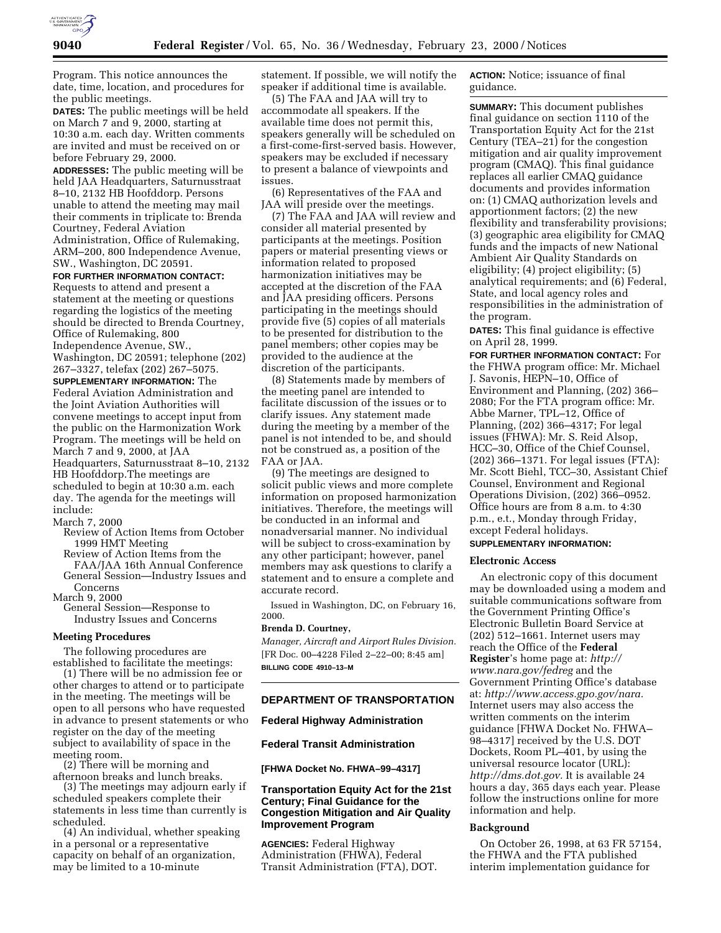

Program. This notice announces the date, time, location, and procedures for the public meetings.

**DATES:** The public meetings will be held on March 7 and 9, 2000, starting at 10:30 a.m. each day. Written comments are invited and must be received on or before February 29, 2000.

**ADDRESSES:** The public meeting will be held JAA Headquarters, Saturnusstraat 8–10, 2132 HB Hoofddorp. Persons unable to attend the meeting may mail their comments in triplicate to: Brenda Courtney, Federal Aviation Administration, Office of Rulemaking, ARM–200, 800 Independence Avenue,

## SW., Washington, DC 20591. **FOR FURTHER INFORMATION CONTACT:**

Requests to attend and present a statement at the meeting or questions regarding the logistics of the meeting should be directed to Brenda Courtney, Office of Rulemaking, 800 Independence Avenue, SW.,

Washington, DC 20591; telephone (202) 267–3327, telefax (202) 267–5075.

**SUPPLEMENTARY INFORMATION:** The Federal Aviation Administration and the Joint Aviation Authorities will convene meetings to accept input from the public on the Harmonization Work Program. The meetings will be held on March 7 and 9, 2000, at JAA Headquarters, Saturnusstraat 8–10, 2132 HB Hoofddorp.The meetings are scheduled to begin at 10:30 a.m. each day. The agenda for the meetings will include:

March 7, 2000

- Review of Action Items from October
- Review of Action Items from the FAA/JAA 16th Annual Conference

General Session—Industry Issues and Concerns

March 9, 2000

General Session—Response to Industry Issues and Concerns

### **Meeting Procedures**

The following procedures are<br>established to facilitate the meetings:

(1) There will be no admission fee or other charges to attend or to participate in the meeting. The meetings will be open to all persons who have requested in advance to present statements or who register on the day of the meeting subject to availability of space in the meeting room. (2) There will be morning and

afternoon breaks and lunch breaks.

(3) The meetings may adjourn early if scheduled speakers complete their statements in less time than currently is scheduled.

(4) An individual, whether speaking in a personal or a representative capacity on behalf of an organization, may be limited to a 10-minute

statement. If possible, we will notify the speaker if additional time is available.

(5) The FAA and JAA will try to accommodate all speakers. If the available time does not permit this, speakers generally will be scheduled on a first-come-first-served basis. However, speakers may be excluded if necessary to present a balance of viewpoints and issues.

(6) Representatives of the FAA and JAA will preside over the meetings.

(7) The FAA and JAA will review and consider all material presented by participants at the meetings. Position papers or material presenting views or information related to proposed harmonization initiatives may be accepted at the discretion of the FAA and JAA presiding officers. Persons participating in the meetings should provide five (5) copies of all materials to be presented for distribution to the panel members; other copies may be provided to the audience at the discretion of the participants.

(8) Statements made by members of the meeting panel are intended to facilitate discussion of the issues or to clarify issues. Any statement made during the meeting by a member of the panel is not intended to be, and should not be construed as, a position of the FAA or JAA.

(9) The meetings are designed to solicit public views and more complete information on proposed harmonization initiatives. Therefore, the meetings will be conducted in an informal and nonadversarial manner. No individual will be subject to cross-examination by any other participant; however, panel members may ask questions to clarify a statement and to ensure a complete and accurate record.

Issued in Washington, DC, on February 16, 2000.

## **Brenda D. Courtney,**

*Manager, Aircraft and Airport Rules Division.* [FR Doc. 00–4228 Filed 2–22–00; 8:45 am] **BILLING CODE 4910–13–M**

# **DEPARTMENT OF TRANSPORTATION**

### **Federal Highway Administration**

# **Federal Transit Administration**

**[FHWA Docket No. FHWA–99–4317]**

# **Transportation Equity Act for the 21st Century; Final Guidance for the Congestion Mitigation and Air Quality Improvement Program**

**AGENCIES:** Federal Highway Administration (FHWA), Federal Transit Administration (FTA), DOT. **ACTION:** Notice; issuance of final guidance.

**SUMMARY:** This document publishes final guidance on section 1110 of the Transportation Equity Act for the 21st Century (TEA–21) for the congestion mitigation and air quality improvement program (CMAQ). This final guidance replaces all earlier CMAQ guidance documents and provides information on: (1) CMAQ authorization levels and apportionment factors; (2) the new flexibility and transferability provisions; (3) geographic area eligibility for CMAQ funds and the impacts of new National Ambient Air Quality Standards on eligibility; (4) project eligibility; (5) analytical requirements; and (6) Federal, State, and local agency roles and responsibilities in the administration of the program.

**DATES:** This final guidance is effective on April 28, 1999.

**FOR FURTHER INFORMATION CONTACT:** For the FHWA program office: Mr. Michael J. Savonis, HEPN–10, Office of Environment and Planning, (202) 366– 2080; For the FTA program office: Mr. Abbe Marner, TPL–12, Office of Planning, (202) 366–4317; For legal issues (FHWA): Mr. S. Reid Alsop, HCC–30, Office of the Chief Counsel, (202) 366–1371. For legal issues (FTA): Mr. Scott Biehl, TCC–30, Assistant Chief Counsel, Environment and Regional Operations Division, (202) 366–0952. Office hours are from 8 a.m. to 4:30 p.m., e.t., Monday through Friday, except Federal holidays.

## **SUPPLEMENTARY INFORMATION:**

# **Electronic Access**

An electronic copy of this document may be downloaded using a modem and suitable communications software from the Government Printing Office's Electronic Bulletin Board Service at (202) 512–1661. Internet users may reach the Office of the **Federal Register**'s home page at: *http:// www.nara.gov/fedreg* and the Government Printing Office's database at: *http://www.access.gpo.gov/nara.* Internet users may also access the written comments on the interim guidance [FHWA Docket No. FHWA– 98–4317] received by the U.S. DOT Dockets, Room PL–401, by using the universal resource locator (URL): *http://dms.dot.gov.* It is available 24 hours a day, 365 days each year. Please follow the instructions online for more information and help.

# **Background**

On October 26, 1998, at 63 FR 57154, the FHWA and the FTA published interim implementation guidance for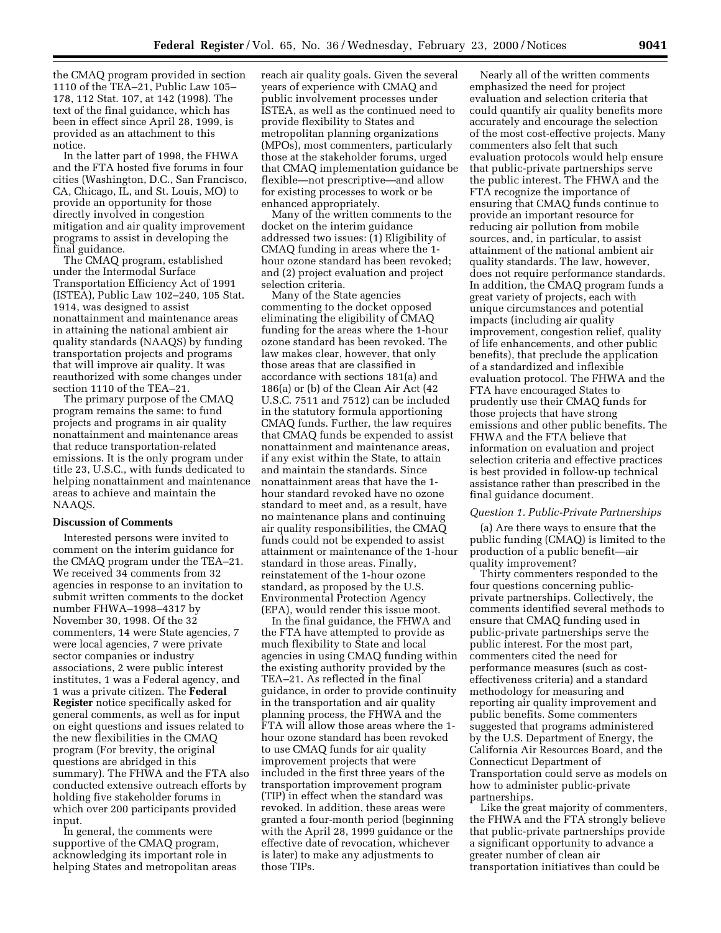the CMAQ program provided in section 1110 of the TEA–21, Public Law 105– 178, 112 Stat. 107, at 142 (1998). The text of the final guidance, which has been in effect since April 28, 1999, is provided as an attachment to this notice.

In the latter part of 1998, the FHWA and the FTA hosted five forums in four cities (Washington, D.C., San Francisco, CA, Chicago, IL, and St. Louis, MO) to provide an opportunity for those directly involved in congestion mitigation and air quality improvement programs to assist in developing the final guidance.

The CMAQ program, established under the Intermodal Surface Transportation Efficiency Act of 1991 (ISTEA), Public Law 102–240, 105 Stat. 1914, was designed to assist nonattainment and maintenance areas in attaining the national ambient air quality standards (NAAQS) by funding transportation projects and programs that will improve air quality. It was reauthorized with some changes under section 1110 of the TEA–21.

The primary purpose of the CMAQ program remains the same: to fund projects and programs in air quality nonattainment and maintenance areas that reduce transportation-related emissions. It is the only program under title 23, U.S.C., with funds dedicated to helping nonattainment and maintenance areas to achieve and maintain the NAAQS.

### **Discussion of Comments**

Interested persons were invited to comment on the interim guidance for the CMAQ program under the TEA–21. We received 34 comments from 32 agencies in response to an invitation to submit written comments to the docket number FHWA–1998–4317 by November 30, 1998. Of the 32 commenters, 14 were State agencies, 7 were local agencies, 7 were private sector companies or industry associations, 2 were public interest institutes, 1 was a Federal agency, and 1 was a private citizen. The **Federal Register** notice specifically asked for general comments, as well as for input on eight questions and issues related to the new flexibilities in the CMAQ program (For brevity, the original questions are abridged in this summary). The FHWA and the FTA also conducted extensive outreach efforts by holding five stakeholder forums in which over 200 participants provided input.

In general, the comments were supportive of the CMAQ program, acknowledging its important role in helping States and metropolitan areas reach air quality goals. Given the several years of experience with CMAQ and public involvement processes under ISTEA, as well as the continued need to provide flexibility to States and metropolitan planning organizations (MPOs), most commenters, particularly those at the stakeholder forums, urged that CMAQ implementation guidance be flexible—not prescriptive—and allow for existing processes to work or be enhanced appropriately.

Many of the written comments to the docket on the interim guidance addressed two issues: (1) Eligibility of CMAQ funding in areas where the 1 hour ozone standard has been revoked; and (2) project evaluation and project selection criteria.

Many of the State agencies commenting to the docket opposed eliminating the eligibility of CMAQ funding for the areas where the 1-hour ozone standard has been revoked. The law makes clear, however, that only those areas that are classified in accordance with sections 181(a) and 186(a) or (b) of the Clean Air Act (42 U.S.C. 7511 and 7512) can be included in the statutory formula apportioning CMAQ funds. Further, the law requires that CMAQ funds be expended to assist nonattainment and maintenance areas, if any exist within the State, to attain and maintain the standards. Since nonattainment areas that have the 1 hour standard revoked have no ozone standard to meet and, as a result, have no maintenance plans and continuing air quality responsibilities, the CMAQ funds could not be expended to assist attainment or maintenance of the 1-hour standard in those areas. Finally, reinstatement of the 1-hour ozone standard, as proposed by the U.S. Environmental Protection Agency (EPA), would render this issue moot.

In the final guidance, the FHWA and the FTA have attempted to provide as much flexibility to State and local agencies in using CMAQ funding within the existing authority provided by the TEA–21. As reflected in the final guidance, in order to provide continuity in the transportation and air quality planning process, the FHWA and the FTA will allow those areas where the 1 hour ozone standard has been revoked to use CMAQ funds for air quality improvement projects that were included in the first three years of the transportation improvement program (TIP) in effect when the standard was revoked. In addition, these areas were granted a four-month period (beginning with the April 28, 1999 guidance or the effective date of revocation, whichever is later) to make any adjustments to those TIPs.

Nearly all of the written comments emphasized the need for project evaluation and selection criteria that could quantify air quality benefits more accurately and encourage the selection of the most cost-effective projects. Many commenters also felt that such evaluation protocols would help ensure that public-private partnerships serve the public interest. The FHWA and the FTA recognize the importance of ensuring that CMAQ funds continue to provide an important resource for reducing air pollution from mobile sources, and, in particular, to assist attainment of the national ambient air quality standards. The law, however, does not require performance standards. In addition, the CMAQ program funds a great variety of projects, each with unique circumstances and potential impacts (including air quality improvement, congestion relief, quality of life enhancements, and other public benefits), that preclude the application of a standardized and inflexible evaluation protocol. The FHWA and the FTA have encouraged States to prudently use their CMAQ funds for those projects that have strong emissions and other public benefits. The FHWA and the FTA believe that information on evaluation and project selection criteria and effective practices is best provided in follow-up technical assistance rather than prescribed in the final guidance document.

## *Question 1. Public-Private Partnerships*

(a) Are there ways to ensure that the public funding (CMAQ) is limited to the production of a public benefit—air quality improvement?

Thirty commenters responded to the four questions concerning publicprivate partnerships. Collectively, the comments identified several methods to ensure that CMAQ funding used in public-private partnerships serve the public interest. For the most part, commenters cited the need for performance measures (such as costeffectiveness criteria) and a standard methodology for measuring and reporting air quality improvement and public benefits. Some commenters suggested that programs administered by the U.S. Department of Energy, the California Air Resources Board, and the Connecticut Department of Transportation could serve as models on how to administer public-private partnerships.

Like the great majority of commenters, the FHWA and the FTA strongly believe that public-private partnerships provide a significant opportunity to advance a greater number of clean air transportation initiatives than could be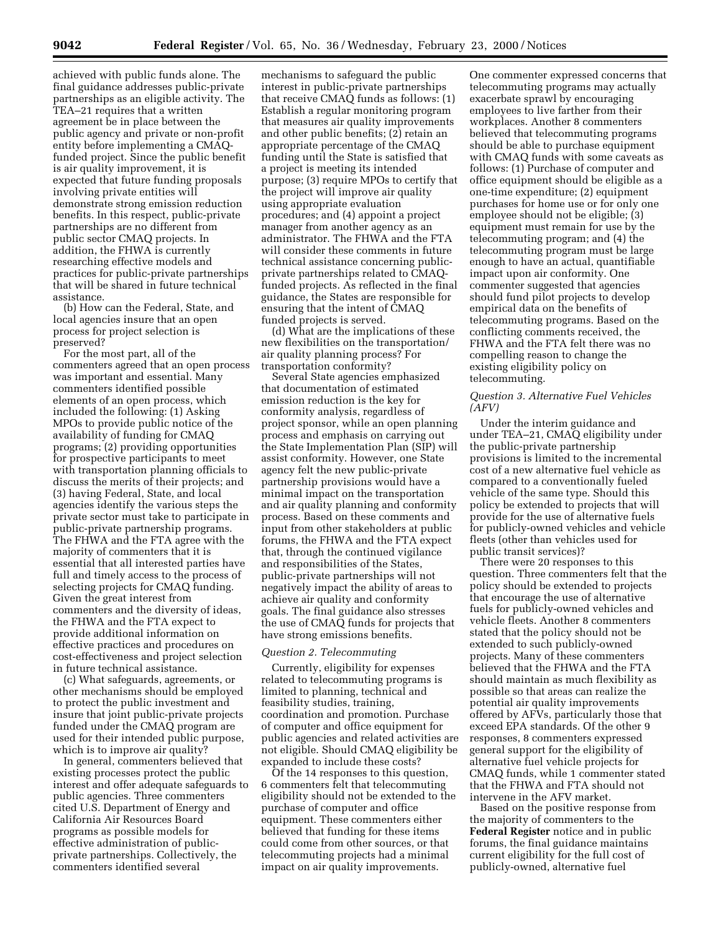achieved with public funds alone. The final guidance addresses public-private partnerships as an eligible activity. The TEA–21 requires that a written agreement be in place between the public agency and private or non-profit entity before implementing a CMAQfunded project. Since the public benefit is air quality improvement, it is expected that future funding proposals involving private entities will demonstrate strong emission reduction benefits. In this respect, public-private partnerships are no different from public sector CMAQ projects. In addition, the FHWA is currently researching effective models and practices for public-private partnerships that will be shared in future technical assistance.

(b) How can the Federal, State, and local agencies insure that an open process for project selection is preserved?

For the most part, all of the commenters agreed that an open process was important and essential. Many commenters identified possible elements of an open process, which included the following: (1) Asking MPOs to provide public notice of the availability of funding for CMAQ programs; (2) providing opportunities for prospective participants to meet with transportation planning officials to discuss the merits of their projects; and (3) having Federal, State, and local agencies identify the various steps the private sector must take to participate in public-private partnership programs. The FHWA and the FTA agree with the majority of commenters that it is essential that all interested parties have full and timely access to the process of selecting projects for CMAQ funding. Given the great interest from commenters and the diversity of ideas, the FHWA and the FTA expect to provide additional information on effective practices and procedures on cost-effectiveness and project selection in future technical assistance.

(c) What safeguards, agreements, or other mechanisms should be employed to protect the public investment and insure that joint public-private projects funded under the CMAQ program are used for their intended public purpose, which is to improve air quality?

In general, commenters believed that existing processes protect the public interest and offer adequate safeguards to public agencies. Three commenters cited U.S. Department of Energy and California Air Resources Board programs as possible models for effective administration of publicprivate partnerships. Collectively, the commenters identified several

mechanisms to safeguard the public interest in public-private partnerships that receive CMAQ funds as follows: (1) Establish a regular monitoring program that measures air quality improvements and other public benefits; (2) retain an appropriate percentage of the CMAQ funding until the State is satisfied that a project is meeting its intended purpose; (3) require MPOs to certify that the project will improve air quality using appropriate evaluation procedures; and (4) appoint a project manager from another agency as an administrator. The FHWA and the FTA will consider these comments in future technical assistance concerning publicprivate partnerships related to CMAQfunded projects. As reflected in the final guidance, the States are responsible for ensuring that the intent of CMAQ funded projects is served.

(d) What are the implications of these new flexibilities on the transportation/ air quality planning process? For transportation conformity?

Several State agencies emphasized that documentation of estimated emission reduction is the key for conformity analysis, regardless of project sponsor, while an open planning process and emphasis on carrying out the State Implementation Plan (SIP) will assist conformity. However, one State agency felt the new public-private partnership provisions would have a minimal impact on the transportation and air quality planning and conformity process. Based on these comments and input from other stakeholders at public forums, the FHWA and the FTA expect that, through the continued vigilance and responsibilities of the States, public-private partnerships will not negatively impact the ability of areas to achieve air quality and conformity goals. The final guidance also stresses the use of CMAQ funds for projects that have strong emissions benefits.

# *Question 2. Telecommuting*

Currently, eligibility for expenses related to telecommuting programs is limited to planning, technical and feasibility studies, training, coordination and promotion. Purchase of computer and office equipment for public agencies and related activities are not eligible. Should CMAQ eligibility be expanded to include these costs?

Of the 14 responses to this question, 6 commenters felt that telecommuting eligibility should not be extended to the purchase of computer and office equipment. These commenters either believed that funding for these items could come from other sources, or that telecommuting projects had a minimal impact on air quality improvements.

One commenter expressed concerns that telecommuting programs may actually exacerbate sprawl by encouraging employees to live farther from their workplaces. Another 8 commenters believed that telecommuting programs should be able to purchase equipment with CMAQ funds with some caveats as follows: (1) Purchase of computer and office equipment should be eligible as a one-time expenditure; (2) equipment purchases for home use or for only one employee should not be eligible; (3) equipment must remain for use by the telecommuting program; and (4) the telecommuting program must be large enough to have an actual, quantifiable impact upon air conformity. One commenter suggested that agencies should fund pilot projects to develop empirical data on the benefits of telecommuting programs. Based on the conflicting comments received, the FHWA and the FTA felt there was no compelling reason to change the existing eligibility policy on telecommuting.

## *Question 3. Alternative Fuel Vehicles (AFV)*

Under the interim guidance and under TEA–21, CMAQ eligibility under the public-private partnership provisions is limited to the incremental cost of a new alternative fuel vehicle as compared to a conventionally fueled vehicle of the same type. Should this policy be extended to projects that will provide for the use of alternative fuels for publicly-owned vehicles and vehicle fleets (other than vehicles used for public transit services)?

There were 20 responses to this question. Three commenters felt that the policy should be extended to projects that encourage the use of alternative fuels for publicly-owned vehicles and vehicle fleets. Another 8 commenters stated that the policy should not be extended to such publicly-owned projects. Many of these commenters believed that the FHWA and the FTA should maintain as much flexibility as possible so that areas can realize the potential air quality improvements offered by AFVs, particularly those that exceed EPA standards. Of the other 9 responses, 8 commenters expressed general support for the eligibility of alternative fuel vehicle projects for CMAQ funds, while 1 commenter stated that the FHWA and FTA should not intervene in the AFV market.

Based on the positive response from the majority of commenters to the **Federal Register** notice and in public forums, the final guidance maintains current eligibility for the full cost of publicly-owned, alternative fuel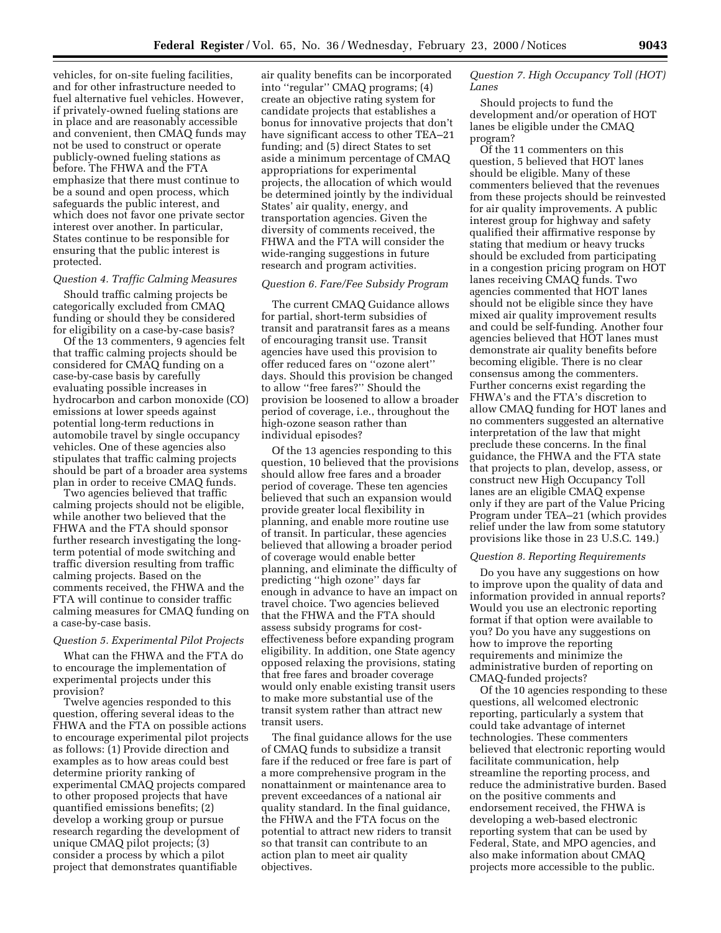vehicles, for on-site fueling facilities, and for other infrastructure needed to fuel alternative fuel vehicles. However, if privately-owned fueling stations are in place and are reasonably accessible and convenient, then CMAQ funds may not be used to construct or operate publicly-owned fueling stations as before. The FHWA and the FTA emphasize that there must continue to be a sound and open process, which safeguards the public interest, and which does not favor one private sector interest over another. In particular, States continue to be responsible for ensuring that the public interest is protected.

# *Question 4. Traffic Calming Measures*

Should traffic calming projects be categorically excluded from CMAQ funding or should they be considered for eligibility on a case-by-case basis?

Of the 13 commenters, 9 agencies felt that traffic calming projects should be considered for CMAQ funding on a case-by-case basis by carefully evaluating possible increases in hydrocarbon and carbon monoxide (CO) emissions at lower speeds against potential long-term reductions in automobile travel by single occupancy vehicles. One of these agencies also stipulates that traffic calming projects should be part of a broader area systems plan in order to receive CMAQ funds.

Two agencies believed that traffic calming projects should not be eligible, while another two believed that the FHWA and the FTA should sponsor further research investigating the longterm potential of mode switching and traffic diversion resulting from traffic calming projects. Based on the comments received, the FHWA and the FTA will continue to consider traffic calming measures for CMAQ funding on a case-by-case basis.

# *Question 5. Experimental Pilot Projects*

What can the FHWA and the FTA do to encourage the implementation of experimental projects under this provision?

Twelve agencies responded to this question, offering several ideas to the FHWA and the FTA on possible actions to encourage experimental pilot projects as follows: (1) Provide direction and examples as to how areas could best determine priority ranking of experimental CMAQ projects compared to other proposed projects that have quantified emissions benefits; (2) develop a working group or pursue research regarding the development of unique CMAQ pilot projects; (3) consider a process by which a pilot project that demonstrates quantifiable

air quality benefits can be incorporated into "regular" CMAQ programs; (4) create an objective rating system for candidate projects that establishes a bonus for innovative projects that don't have significant access to other TEA–21 funding; and (5) direct States to set aside a minimum percentage of CMAQ appropriations for experimental projects, the allocation of which would be determined jointly by the individual States' air quality, energy, and transportation agencies. Given the diversity of comments received, the FHWA and the FTA will consider the wide-ranging suggestions in future research and program activities.

#### *Question 6. Fare/Fee Subsidy Program*

The current CMAQ Guidance allows for partial, short-term subsidies of transit and paratransit fares as a means of encouraging transit use. Transit agencies have used this provision to offer reduced fares on ''ozone alert'' days. Should this provision be changed to allow ''free fares?'' Should the provision be loosened to allow a broader period of coverage, i.e., throughout the high-ozone season rather than individual episodes?

Of the 13 agencies responding to this question, 10 believed that the provisions should allow free fares and a broader period of coverage. These ten agencies believed that such an expansion would provide greater local flexibility in planning, and enable more routine use of transit. In particular, these agencies believed that allowing a broader period of coverage would enable better planning, and eliminate the difficulty of predicting ''high ozone'' days far enough in advance to have an impact on travel choice. Two agencies believed that the FHWA and the FTA should assess subsidy programs for costeffectiveness before expanding program eligibility. In addition, one State agency opposed relaxing the provisions, stating that free fares and broader coverage would only enable existing transit users to make more substantial use of the transit system rather than attract new transit users.

The final guidance allows for the use of CMAQ funds to subsidize a transit fare if the reduced or free fare is part of a more comprehensive program in the nonattainment or maintenance area to prevent exceedances of a national air quality standard. In the final guidance, the FHWA and the FTA focus on the potential to attract new riders to transit so that transit can contribute to an action plan to meet air quality objectives.

# *Question 7. High Occupancy Toll (HOT) Lanes*

Should projects to fund the development and/or operation of HOT lanes be eligible under the CMAQ program?

Of the 11 commenters on this question, 5 believed that HOT lanes should be eligible. Many of these commenters believed that the revenues from these projects should be reinvested for air quality improvements. A public interest group for highway and safety qualified their affirmative response by stating that medium or heavy trucks should be excluded from participating in a congestion pricing program on HOT lanes receiving CMAQ funds. Two agencies commented that HOT lanes should not be eligible since they have mixed air quality improvement results and could be self-funding. Another four agencies believed that HOT lanes must demonstrate air quality benefits before becoming eligible. There is no clear consensus among the commenters. Further concerns exist regarding the FHWA's and the FTA's discretion to allow CMAQ funding for HOT lanes and no commenters suggested an alternative interpretation of the law that might preclude these concerns. In the final guidance, the FHWA and the FTA state that projects to plan, develop, assess, or construct new High Occupancy Toll lanes are an eligible CMAQ expense only if they are part of the Value Pricing Program under TEA–21 (which provides relief under the law from some statutory provisions like those in 23 U.S.C. 149.)

## *Question 8. Reporting Requirements*

Do you have any suggestions on how to improve upon the quality of data and information provided in annual reports? Would you use an electronic reporting format if that option were available to you? Do you have any suggestions on how to improve the reporting requirements and minimize the administrative burden of reporting on CMAQ-funded projects?

Of the 10 agencies responding to these questions, all welcomed electronic reporting, particularly a system that could take advantage of internet technologies. These commenters believed that electronic reporting would facilitate communication, help streamline the reporting process, and reduce the administrative burden. Based on the positive comments and endorsement received, the FHWA is developing a web-based electronic reporting system that can be used by Federal, State, and MPO agencies, and also make information about CMAQ projects more accessible to the public.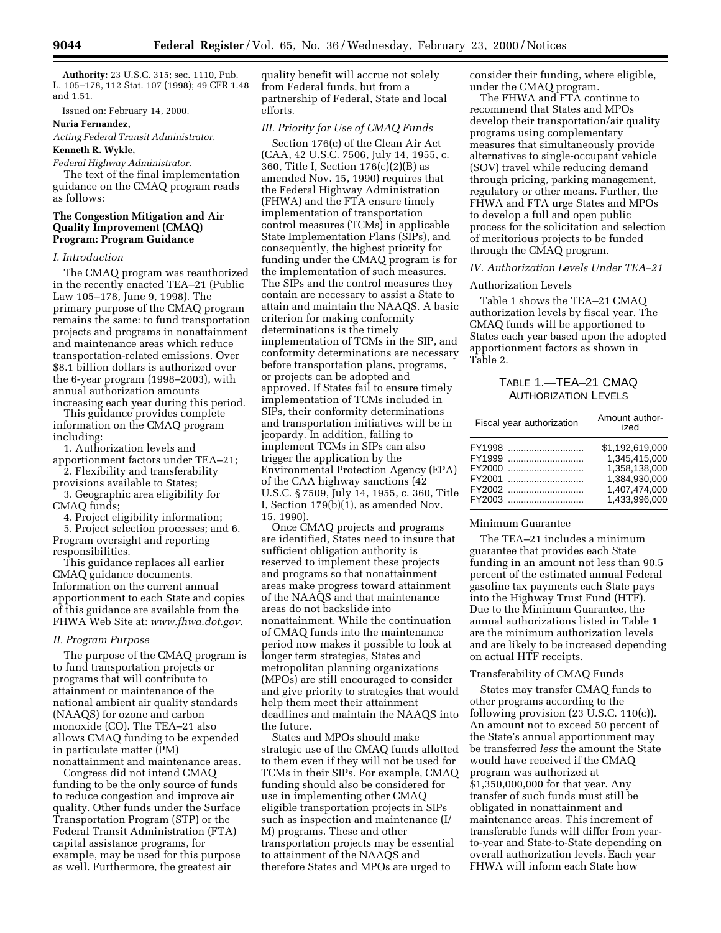**Authority:** 23 U.S.C. 315; sec. 1110, Pub. L. 105–178, 112 Stat. 107 (1998); 49 CFR 1.48 and 1.51.

Issued on: February 14, 2000.

### **Nuria Fernandez,**

*Acting Federal Transit Administrator.* **Kenneth R. Wykle,**

# *Federal Highway Administrator.*

The text of the final implementation guidance on the CMAQ program reads as follows:

## **The Congestion Mitigation and Air Quality Improvement (CMAQ) Program: Program Guidance**

## *I. Introduction*

The CMAQ program was reauthorized in the recently enacted TEA–21 (Public Law 105–178, June 9, 1998). The primary purpose of the CMAQ program remains the same: to fund transportation projects and programs in nonattainment and maintenance areas which reduce transportation-related emissions. Over \$8.1 billion dollars is authorized over the 6-year program (1998–2003), with annual authorization amounts increasing each year during this period.

This guidance provides complete information on the CMAQ program including:

1. Authorization levels and

apportionment factors under TEA–21; 2. Flexibility and transferability

provisions available to States; 3. Geographic area eligibility for CMAQ funds;

4. Project eligibility information;

5. Project selection processes; and 6. Program oversight and reporting responsibilities.

This guidance replaces all earlier CMAQ guidance documents. Information on the current annual apportionment to each State and copies of this guidance are available from the FHWA Web Site at: *www.fhwa.dot.gov*.

### *II. Program Purpose*

The purpose of the CMAQ program is to fund transportation projects or programs that will contribute to attainment or maintenance of the national ambient air quality standards (NAAQS) for ozone and carbon monoxide (CO). The TEA–21 also allows CMAQ funding to be expended in particulate matter (PM) nonattainment and maintenance areas.

Congress did not intend CMAQ funding to be the only source of funds to reduce congestion and improve air quality. Other funds under the Surface Transportation Program (STP) or the Federal Transit Administration (FTA) capital assistance programs, for example, may be used for this purpose as well. Furthermore, the greatest air

quality benefit will accrue not solely from Federal funds, but from a partnership of Federal, State and local efforts.

# *III. Priority for Use of CMAQ Funds*

Section 176(c) of the Clean Air Act (CAA, 42 U.S.C. 7506, July 14, 1955, c. 360, Title I, Section 176(c)(2)(B) as amended Nov. 15, 1990) requires that the Federal Highway Administration (FHWA) and the FTA ensure timely implementation of transportation control measures (TCMs) in applicable State Implementation Plans (SIPs), and consequently, the highest priority for funding under the CMAQ program is for the implementation of such measures. The SIPs and the control measures they contain are necessary to assist a State to attain and maintain the NAAQS. A basic criterion for making conformity determinations is the timely implementation of TCMs in the SIP, and conformity determinations are necessary before transportation plans, programs, or projects can be adopted and approved. If States fail to ensure timely implementation of TCMs included in SIPs, their conformity determinations and transportation initiatives will be in jeopardy. In addition, failing to implement TCMs in SIPs can also trigger the application by the Environmental Protection Agency (EPA) of the CAA highway sanctions (42 U.S.C. § 7509, July 14, 1955, c. 360, Title I, Section  $179(b)(1)$ , as amended Nov. 15, 1990).

Once CMAQ projects and programs are identified, States need to insure that sufficient obligation authority is reserved to implement these projects and programs so that nonattainment areas make progress toward attainment of the NAAQS and that maintenance areas do not backslide into nonattainment. While the continuation of CMAQ funds into the maintenance period now makes it possible to look at longer term strategies, States and metropolitan planning organizations (MPOs) are still encouraged to consider and give priority to strategies that would help them meet their attainment deadlines and maintain the NAAQS into the future.

States and MPOs should make strategic use of the CMAQ funds allotted to them even if they will not be used for TCMs in their SIPs. For example, CMAQ funding should also be considered for use in implementing other CMAQ eligible transportation projects in SIPs such as inspection and maintenance (I/ M) programs. These and other transportation projects may be essential to attainment of the NAAQS and therefore States and MPOs are urged to

consider their funding, where eligible, under the CMAQ program.

The FHWA and FTA continue to recommend that States and MPOs develop their transportation/air quality programs using complementary measures that simultaneously provide alternatives to single-occupant vehicle (SOV) travel while reducing demand through pricing, parking management, regulatory or other means. Further, the FHWA and FTA urge States and MPOs to develop a full and open public process for the solicitation and selection of meritorious projects to be funded through the CMAQ program.

### *IV. Authorization Levels Under TEA–21*

## Authorization Levels

Table 1 shows the TEA–21 CMAQ authorization levels by fiscal year. The CMAQ funds will be apportioned to States each year based upon the adopted apportionment factors as shown in Table 2.

# TABLE 1.—TEA–21 CMAQ AUTHORIZATION LEVELS

| Fiscal year authorization                                | Amount author-<br>ized                                                                               |
|----------------------------------------------------------|------------------------------------------------------------------------------------------------------|
| FY1998<br>FY1999<br>FY2000<br>FY2001<br>FY2002<br>FY2003 | \$1.192.619.000<br>1,345,415,000<br>1.358.138.000<br>1.384.930.000<br>1,407,474,000<br>1.433.996.000 |

#### Minimum Guarantee

The TEA–21 includes a minimum guarantee that provides each State funding in an amount not less than 90.5 percent of the estimated annual Federal gasoline tax payments each State pays into the Highway Trust Fund (HTF). Due to the Minimum Guarantee, the annual authorizations listed in Table 1 are the minimum authorization levels and are likely to be increased depending on actual HTF receipts.

## Transferability of CMAQ Funds

States may transfer CMAQ funds to other programs according to the following provision (23 U.S.C. 110(c)). An amount not to exceed 50 percent of the State's annual apportionment may be transferred *less* the amount the State would have received if the CMAQ program was authorized at \$1,350,000,000 for that year. Any transfer of such funds must still be obligated in nonattainment and maintenance areas. This increment of transferable funds will differ from yearto-year and State-to-State depending on overall authorization levels. Each year FHWA will inform each State how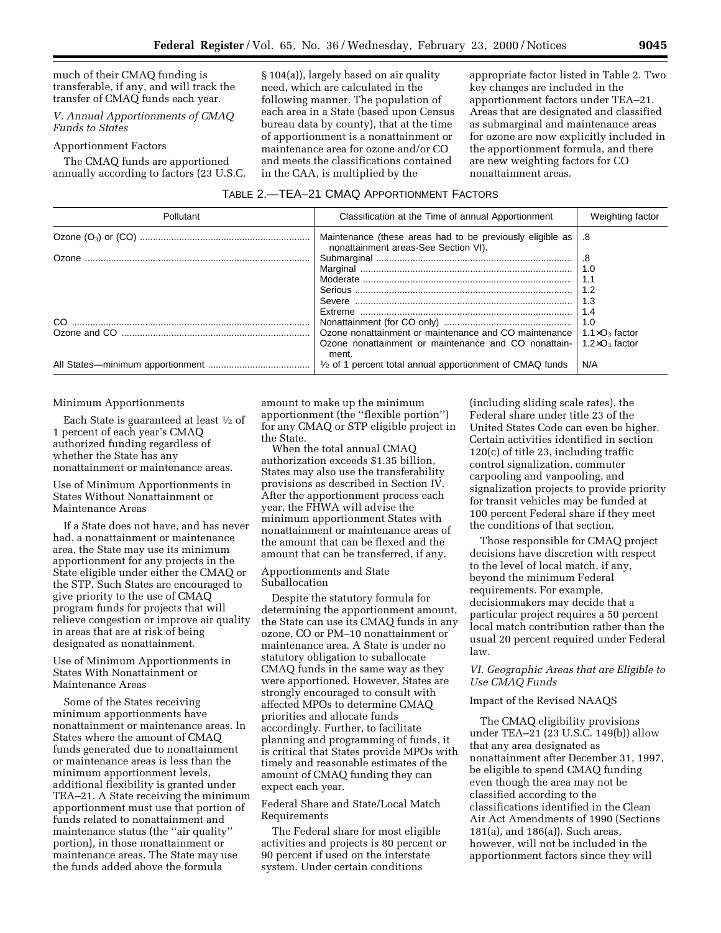much of their CMAQ funding is transferable, if any, and will track the transfer of CMAQ funds each year.

## *V. Annual Apportionments of CMAQ Funds to States*

### Apportionment Factors

The CMAQ funds are apportioned annually according to factors (23 U.S.C. § 104(a)), largely based on air quality need, which are calculated in the following manner. The population of each area in a State (based upon Census bureau data by county), that at the time of apportionment is a nonattainment or maintenance area for ozone and/or CO and meets the classifications contained in the CAA, is multiplied by the

appropriate factor listed in Table 2. Two key changes are included in the apportionment factors under TEA–21. Areas that are designated and classified as submarginal and maintenance areas for ozone are now explicitly included in the apportionment formula, and there are new weighting factors for CO nonattainment areas.

|  |  | TABLE 2.—TEA—21 CMAQ APPORTIONMENT FACTORS |
|--|--|--------------------------------------------|
|--|--|--------------------------------------------|

| Pollutant | Classification at the Time of annual Apportionment                                                | Weighting factor        |
|-----------|---------------------------------------------------------------------------------------------------|-------------------------|
|           | Maintenance (these areas had to be previously eligible as<br>nonattainment areas-See Section VI). | .8                      |
| Ozone.    |                                                                                                   | .8                      |
|           |                                                                                                   | 1.0                     |
|           |                                                                                                   | 1.1                     |
|           |                                                                                                   | 1.2                     |
|           |                                                                                                   | 1.3                     |
|           |                                                                                                   | 1.4                     |
|           |                                                                                                   | 1.0                     |
|           | Ozone nonattainment or maintenance and CO maintenance                                             | $1.1 \times O_3$ factor |
|           | Ozone nonattainment or maintenance and CO nonattain-<br>ment.                                     | $1.2 \times O_3$ factor |
|           | 1/2 of 1 percent total annual apportionment of CMAQ funds                                         | N/A                     |

#### Minimum Apportionments

Each State is guaranteed at least 1⁄2 of 1 percent of each year's CMAQ authorized funding regardless of whether the State has any nonattainment or maintenance areas.

# Use of Minimum Apportionments in States Without Nonattainment or Maintenance Areas

If a State does not have, and has never had, a nonattainment or maintenance area, the State may use its minimum apportionment for any projects in the State eligible under either the CMAQ or the STP. Such States are encouraged to give priority to the use of CMAQ program funds for projects that will relieve congestion or improve air quality in areas that are at risk of being designated as nonattainment.

## Use of Minimum Apportionments in States With Nonattainment or Maintenance Areas

Some of the States receiving minimum apportionments have nonattainment or maintenance areas. In States where the amount of CMAQ funds generated due to nonattainment or maintenance areas is less than the minimum apportionment levels, additional flexibility is granted under TEA–21. A State receiving the minimum apportionment must use that portion of funds related to nonattainment and maintenance status (the ''air quality'' portion), in those nonattainment or maintenance areas. The State may use the funds added above the formula

amount to make up the minimum apportionment (the ''flexible portion'') for any CMAQ or STP eligible project in the State.

When the total annual CMAQ authorization exceeds \$1.35 billion, States may also use the transferability provisions as described in Section IV. After the apportionment process each year, the FHWA will advise the minimum apportionment States with nonattainment or maintenance areas of the amount that can be flexed and the amount that can be transferred, if any.

### Apportionments and State Suballocation

Despite the statutory formula for determining the apportionment amount, the State can use its CMAQ funds in any ozone, CO or PM–10 nonattainment or maintenance area. A State is under no statutory obligation to suballocate CMAQ funds in the same way as they were apportioned. However, States are strongly encouraged to consult with affected MPOs to determine CMAQ priorities and allocate funds accordingly. Further, to facilitate planning and programming of funds, it is critical that States provide MPOs with timely and reasonable estimates of the amount of CMAQ funding they can expect each year.

Federal Share and State/Local Match Requirements

The Federal share for most eligible activities and projects is 80 percent or 90 percent if used on the interstate system. Under certain conditions

(including sliding scale rates), the Federal share under title 23 of the United States Code can even be higher. Certain activities identified in section 120(c) of title 23, including traffic control signalization, commuter carpooling and vanpooling, and signalization projects to provide priority for transit vehicles may be funded at 100 percent Federal share if they meet the conditions of that section.

Those responsible for CMAQ project decisions have discretion with respect to the level of local match, if any, beyond the minimum Federal requirements. For example, decisionmakers may decide that a particular project requires a 50 percent local match contribution rather than the usual 20 percent required under Federal law.

## *VI. Geographic Areas that are Eligible to Use CMAQ Funds*

## Impact of the Revised NAAQS

The CMAQ eligibility provisions under TEA–21 (23 U.S.C. 149(b)) allow that any area designated as nonattainment after December 31, 1997, be eligible to spend CMAQ funding even though the area may not be classified according to the classifications identified in the Clean Air Act Amendments of 1990 (Sections 181(a), and 186(a)). Such areas, however, will not be included in the apportionment factors since they will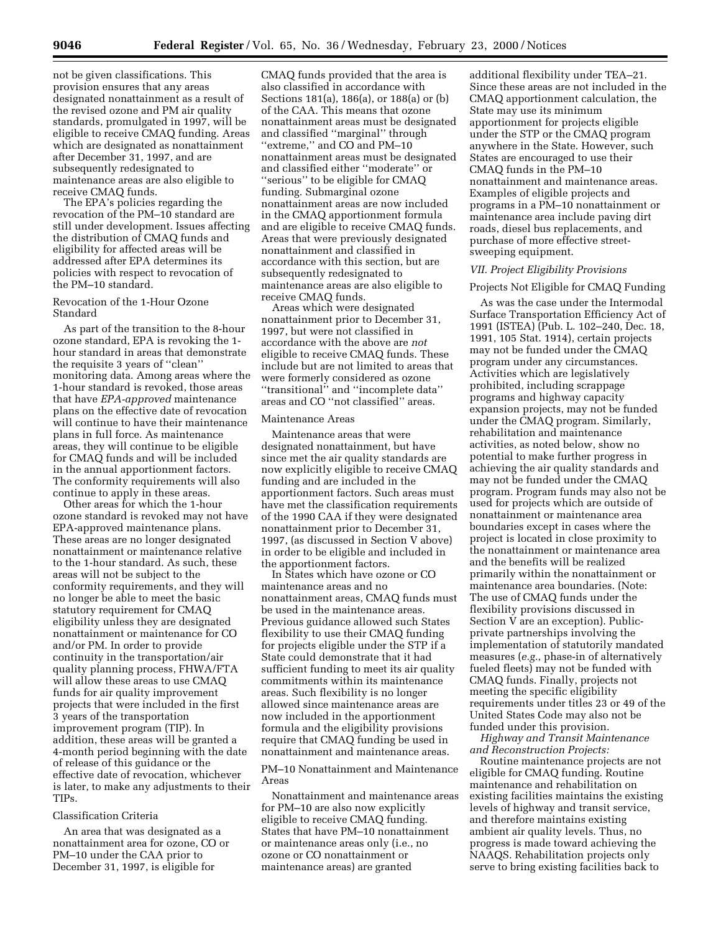not be given classifications. This provision ensures that any areas designated nonattainment as a result of the revised ozone and PM air quality standards, promulgated in 1997, will be eligible to receive CMAQ funding. Areas which are designated as nonattainment after December 31, 1997, and are subsequently redesignated to maintenance areas are also eligible to receive CMAQ funds.

The EPA's policies regarding the revocation of the PM–10 standard are still under development. Issues affecting the distribution of CMAQ funds and eligibility for affected areas will be addressed after EPA determines its policies with respect to revocation of the PM–10 standard.

## Revocation of the 1-Hour Ozone Standard

As part of the transition to the 8-hour ozone standard, EPA is revoking the 1 hour standard in areas that demonstrate the requisite 3 years of ''clean'' monitoring data. Among areas where the 1-hour standard is revoked, those areas that have *EPA-approved* maintenance plans on the effective date of revocation will continue to have their maintenance plans in full force. As maintenance areas, they will continue to be eligible for CMAQ funds and will be included in the annual apportionment factors. The conformity requirements will also continue to apply in these areas.

Other areas for which the 1-hour ozone standard is revoked may not have EPA-approved maintenance plans. These areas are no longer designated nonattainment or maintenance relative to the 1-hour standard. As such, these areas will not be subject to the conformity requirements, and they will no longer be able to meet the basic statutory requirement for CMAQ eligibility unless they are designated nonattainment or maintenance for CO and/or PM. In order to provide continuity in the transportation/air quality planning process, FHWA/FTA will allow these areas to use CMAQ funds for air quality improvement projects that were included in the first 3 years of the transportation improvement program (TIP). In addition, these areas will be granted a 4-month period beginning with the date of release of this guidance or the effective date of revocation, whichever is later, to make any adjustments to their TIPs.

#### Classification Criteria

An area that was designated as a nonattainment area for ozone, CO or PM–10 under the CAA prior to December 31, 1997, is eligible for

CMAQ funds provided that the area is also classified in accordance with Sections 181(a), 186(a), or 188(a) or (b) of the CAA. This means that ozone nonattainment areas must be designated and classified ''marginal'' through ''extreme,'' and CO and PM–10 nonattainment areas must be designated and classified either ''moderate'' or ''serious'' to be eligible for CMAQ funding. Submarginal ozone nonattainment areas are now included in the CMAQ apportionment formula and are eligible to receive CMAQ funds. Areas that were previously designated nonattainment and classified in accordance with this section, but are subsequently redesignated to maintenance areas are also eligible to receive CMAQ funds.

Areas which were designated nonattainment prior to December 31, 1997, but were not classified in accordance with the above are *not* eligible to receive CMAQ funds. These include but are not limited to areas that were formerly considered as ozone ''transitional'' and ''incomplete data'' areas and CO ''not classified'' areas.

## Maintenance Areas

Maintenance areas that were designated nonattainment, but have since met the air quality standards are now explicitly eligible to receive CMAQ funding and are included in the apportionment factors. Such areas must have met the classification requirements of the 1990 CAA if they were designated nonattainment prior to December 31, 1997, (as discussed in Section V above) in order to be eligible and included in the apportionment factors.

In States which have ozone or CO maintenance areas and no nonattainment areas, CMAQ funds must be used in the maintenance areas. Previous guidance allowed such States flexibility to use their CMAQ funding for projects eligible under the STP if a State could demonstrate that it had sufficient funding to meet its air quality commitments within its maintenance areas. Such flexibility is no longer allowed since maintenance areas are now included in the apportionment formula and the eligibility provisions require that CMAQ funding be used in nonattainment and maintenance areas.

## PM–10 Nonattainment and Maintenance Areas

Nonattainment and maintenance areas for PM–10 are also now explicitly eligible to receive CMAQ funding. States that have PM–10 nonattainment or maintenance areas only (i.e., no ozone or CO nonattainment or maintenance areas) are granted

additional flexibility under TEA–21. Since these areas are not included in the CMAQ apportionment calculation, the State may use its minimum apportionment for projects eligible under the STP or the CMAQ program anywhere in the State. However, such States are encouraged to use their CMAQ funds in the PM–10 nonattainment and maintenance areas. Examples of eligible projects and programs in a PM–10 nonattainment or maintenance area include paving dirt roads, diesel bus replacements, and purchase of more effective streetsweeping equipment.

## *VII. Project Eligibility Provisions*

## Projects Not Eligible for CMAQ Funding

As was the case under the Intermodal Surface Transportation Efficiency Act of 1991 (ISTEA) (Pub. L. 102–240, Dec. 18, 1991, 105 Stat. 1914), certain projects may not be funded under the CMAQ program under any circumstances. Activities which are legislatively prohibited, including scrappage programs and highway capacity expansion projects, may not be funded under the CMAQ program. Similarly, rehabilitation and maintenance activities, as noted below, show no potential to make further progress in achieving the air quality standards and may not be funded under the CMAQ program. Program funds may also not be used for projects which are outside of nonattainment or maintenance area boundaries except in cases where the project is located in close proximity to the nonattainment or maintenance area and the benefits will be realized primarily within the nonattainment or maintenance area boundaries. (Note: The use of CMAQ funds under the flexibility provisions discussed in Section V are an exception). Publicprivate partnerships involving the implementation of statutorily mandated measures (*e.g.*, phase-in of alternatively fueled fleets) may not be funded with CMAQ funds. Finally, projects not meeting the specific eligibility requirements under titles 23 or 49 of the United States Code may also not be funded under this provision.

*Highway and Transit Maintenance and Reconstruction Projects:* 

Routine maintenance projects are not eligible for CMAQ funding. Routine maintenance and rehabilitation on existing facilities maintains the existing levels of highway and transit service, and therefore maintains existing ambient air quality levels. Thus, no progress is made toward achieving the NAAQS. Rehabilitation projects only serve to bring existing facilities back to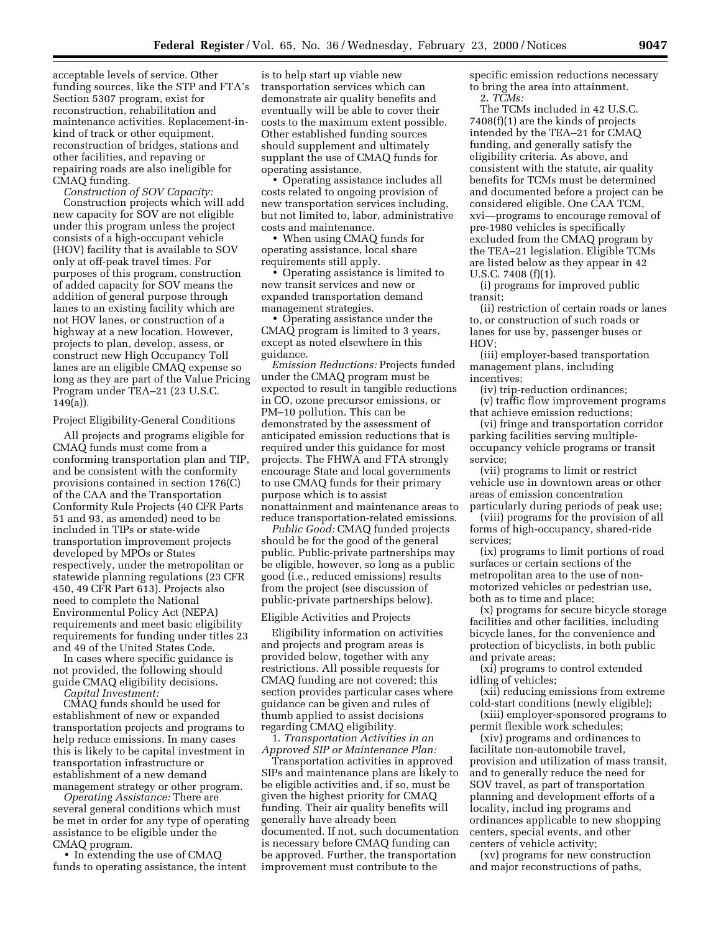acceptable levels of service. Other funding sources, like the STP and FTA's Section 5307 program, exist for reconstruction, rehabilitation and maintenance activities. Replacement-inkind of track or other equipment, reconstruction of bridges, stations and other facilities, and repaving or repairing roads are also ineligible for CMAQ funding.

*Construction of SOV Capacity:*  Construction projects which will add new capacity for SOV are not eligible under this program unless the project consists of a high-occupant vehicle (HOV) facility that is available to SOV only at off-peak travel times. For purposes of this program, construction of added capacity for SOV means the addition of general purpose through lanes to an existing facility which are not HOV lanes, or construction of a highway at a new location. However, projects to plan, develop, assess, or construct new High Occupancy Toll lanes are an eligible CMAQ expense so long as they are part of the Value Pricing Program under TEA–21 (23 U.S.C. 149(a)).

Project Eligibility-General Conditions

All projects and programs eligible for CMAQ funds must come from a conforming transportation plan and TIP, and be consistent with the conformity provisions contained in section 176(C) of the CAA and the Transportation Conformity Rule Projects (40 CFR Parts 51 and 93, as amended) need to be included in TIPs or state-wide transportation improvement projects developed by MPOs or States respectively, under the metropolitan or statewide planning regulations (23 CFR 450, 49 CFR Part 613). Projects also need to complete the National Environmental Policy Act (NEPA) requirements and meet basic eligibility requirements for funding under titles 23 and 49 of the United States Code.

In cases where specific guidance is not provided, the following should guide CMAQ eligibility decisions. *Capital Investment:* 

CMAQ funds should be used for establishment of new or expanded transportation projects and programs to help reduce emissions. In many cases this is likely to be capital investment in transportation infrastructure or

establishment of a new demand management strategy or other program. *Operating Assistance:* There are several general conditions which must be met in order for any type of operating assistance to be eligible under the

CMAQ program. • In extending the use of CMAQ funds to operating assistance, the intent

is to help start up viable new transportation services which can demonstrate air quality benefits and eventually will be able to cover their costs to the maximum extent possible. Other established funding sources should supplement and ultimately supplant the use of CMAQ funds for operating assistance.

• Operating assistance includes all costs related to ongoing provision of new transportation services including, but not limited to, labor, administrative costs and maintenance.

• When using CMAQ funds for operating assistance, local share requirements still apply.

• Operating assistance is limited to new transit services and new or expanded transportation demand management strategies.

• Operating assistance under the CMAQ program is limited to 3 years, except as noted elsewhere in this guidance.

*Emission Reductions:* Projects funded under the CMAQ program must be expected to result in tangible reductions in CO, ozone precursor emissions, or PM–10 pollution. This can be demonstrated by the assessment of anticipated emission reductions that is required under this guidance for most projects. The FHWA and FTA strongly encourage State and local governments to use CMAQ funds for their primary purpose which is to assist nonattainment and maintenance areas to reduce transportation-related emissions.

*Public Good:* CMAQ funded projects should be for the good of the general public. Public-private partnerships may be eligible, however, so long as a public good (i.e., reduced emissions) results from the project (see discussion of public-private partnerships below).

## Eligible Activities and Projects

Eligibility information on activities and projects and program areas is provided below, together with any restrictions. All possible requests for CMAQ funding are not covered; this section provides particular cases where guidance can be given and rules of thumb applied to assist decisions regarding CMAQ eligibility.

1. *Transportation Activities in an Approved SIP or Maintenance Plan:* 

Transportation activities in approved SIPs and maintenance plans are likely to be eligible activities and, if so, must be given the highest priority for CMAQ funding. Their air quality benefits will generally have already been documented. If not, such documentation is necessary before CMAQ funding can be approved. Further, the transportation improvement must contribute to the

specific emission reductions necessary to bring the area into attainment.

2. *TCMs:* 

The TCMs included in 42 U.S.C. 7408(f)(1) are the kinds of projects intended by the TEA–21 for CMAQ funding, and generally satisfy the eligibility criteria. As above, and consistent with the statute, air quality benefits for TCMs must be determined and documented before a project can be considered eligible. One CAA TCM, xvi—programs to encourage removal of pre-1980 vehicles is specifically excluded from the CMAQ program by the TEA–21 legislation. Eligible TCMs are listed below as they appear in 42 U.S.C. 7408 (f)(1).

(i) programs for improved public transit;

(ii) restriction of certain roads or lanes to, or construction of such roads or lanes for use by, passenger buses or HOV;

(iii) employer-based transportation management plans, including incentives;

(iv) trip-reduction ordinances;

(v) traffic flow improvement programs that achieve emission reductions;

(vi) fringe and transportation corridor parking facilities serving multipleoccupancy vehicle programs or transit service;

(vii) programs to limit or restrict vehicle use in downtown areas or other areas of emission concentration particularly during periods of peak use;

(viii) programs for the provision of all forms of high-occupancy, shared-ride services;

(ix) programs to limit portions of road surfaces or certain sections of the metropolitan area to the use of nonmotorized vehicles or pedestrian use, both as to time and place;

(x) programs for secure bicycle storage facilities and other facilities, including bicycle lanes, for the convenience and protection of bicyclists, in both public and private areas;

(xi) programs to control extended idling of vehicles;

(xii) reducing emissions from extreme cold-start conditions (newly eligible);

(xiii) employer-sponsored programs to permit flexible work schedules;

(xiv) programs and ordinances to facilitate non-automobile travel, provision and utilization of mass transit, and to generally reduce the need for SOV travel, as part of transportation planning and development efforts of a locality, includ ing programs and ordinances applicable to new shopping centers, special events, and other centers of vehicle activity;

(xv) programs for new construction and major reconstructions of paths,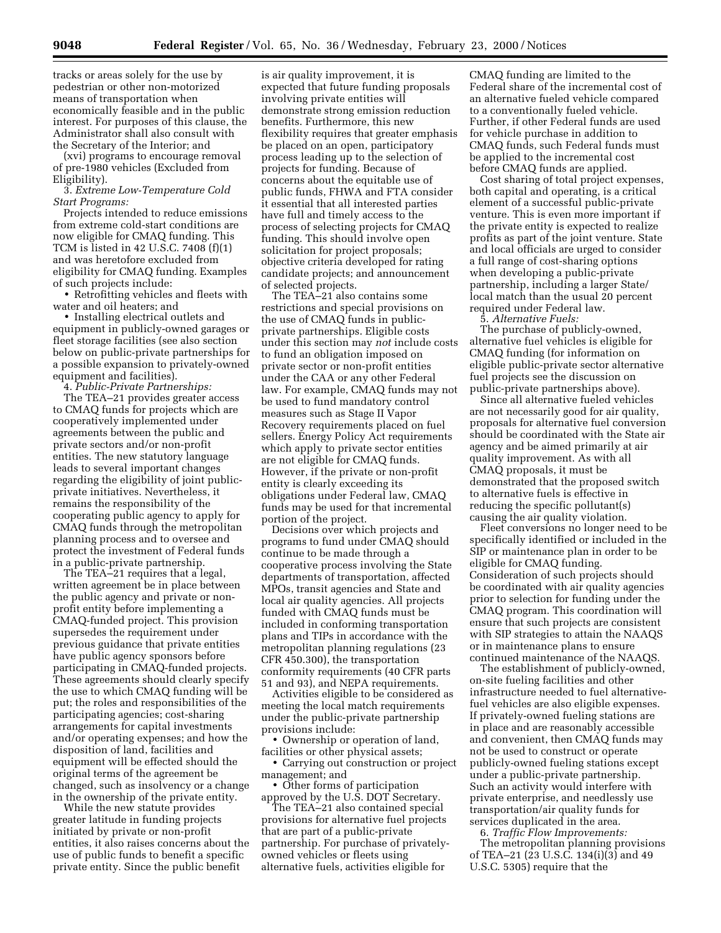tracks or areas solely for the use by pedestrian or other non-motorized means of transportation when economically feasible and in the public interest. For purposes of this clause, the Administrator shall also consult with the Secretary of the Interior; and

(xvi) programs to encourage removal of pre-1980 vehicles (Excluded from Eligibility).

3. *Extreme Low-Temperature Cold Start Programs:* 

Projects intended to reduce emissions from extreme cold-start conditions are now eligible for CMAQ funding. This TCM is listed in 42 U.S.C. 7408 (f)(1) and was heretofore excluded from eligibility for CMAQ funding. Examples of such projects include:

• Retrofitting vehicles and fleets with water and oil heaters; and

• Installing electrical outlets and equipment in publicly-owned garages or fleet storage facilities (see also section below on public-private partnerships for a possible expansion to privately-owned equipment and facilities).

4. *Public-Private Partnerships:* 

The TEA–21 provides greater access to CMAQ funds for projects which are cooperatively implemented under agreements between the public and private sectors and/or non-profit entities. The new statutory language leads to several important changes regarding the eligibility of joint publicprivate initiatives. Nevertheless, it remains the responsibility of the cooperating public agency to apply for CMAQ funds through the metropolitan planning process and to oversee and protect the investment of Federal funds in a public-private partnership.

The TEA–21 requires that a legal, written agreement be in place between the public agency and private or nonprofit entity before implementing a CMAQ-funded project. This provision supersedes the requirement under previous guidance that private entities have public agency sponsors before participating in CMAQ-funded projects. These agreements should clearly specify the use to which CMAQ funding will be put; the roles and responsibilities of the participating agencies; cost-sharing arrangements for capital investments and/or operating expenses; and how the disposition of land, facilities and equipment will be effected should the original terms of the agreement be changed, such as insolvency or a change in the ownership of the private entity.

While the new statute provides greater latitude in funding projects initiated by private or non-profit entities, it also raises concerns about the use of public funds to benefit a specific private entity. Since the public benefit

is air quality improvement, it is expected that future funding proposals involving private entities will demonstrate strong emission reduction benefits. Furthermore, this new flexibility requires that greater emphasis be placed on an open, participatory process leading up to the selection of projects for funding. Because of concerns about the equitable use of public funds, FHWA and FTA consider it essential that all interested parties have full and timely access to the process of selecting projects for CMAQ funding. This should involve open solicitation for project proposals; objective criteria developed for rating candidate projects; and announcement of selected projects.

The TEA–21 also contains some restrictions and special provisions on the use of CMAQ funds in publicprivate partnerships. Eligible costs under this section may *not* include costs to fund an obligation imposed on private sector or non-profit entities under the CAA or any other Federal law. For example, CMAQ funds may not be used to fund mandatory control measures such as Stage II Vapor Recovery requirements placed on fuel sellers. Energy Policy Act requirements which apply to private sector entities are not eligible for CMAQ funds. However, if the private or non-profit entity is clearly exceeding its obligations under Federal law, CMAQ funds may be used for that incremental portion of the project.

Decisions over which projects and programs to fund under CMAQ should continue to be made through a cooperative process involving the State departments of transportation, affected MPOs, transit agencies and State and local air quality agencies. All projects funded with CMAQ funds must be included in conforming transportation plans and TIPs in accordance with the metropolitan planning regulations (23 CFR 450.300), the transportation conformity requirements (40 CFR parts 51 and 93), and NEPA requirements.

Activities eligible to be considered as meeting the local match requirements under the public-private partnership provisions include:

• Ownership or operation of land, facilities or other physical assets;

• Carrying out construction or project management; and

• Other forms of participation approved by the U.S. DOT Secretary.

The TEA–21 also contained special provisions for alternative fuel projects that are part of a public-private partnership. For purchase of privatelyowned vehicles or fleets using alternative fuels, activities eligible for

CMAQ funding are limited to the Federal share of the incremental cost of an alternative fueled vehicle compared to a conventionally fueled vehicle. Further, if other Federal funds are used for vehicle purchase in addition to CMAQ funds, such Federal funds must be applied to the incremental cost before CMAQ funds are applied.

Cost sharing of total project expenses, both capital and operating, is a critical element of a successful public-private venture. This is even more important if the private entity is expected to realize profits as part of the joint venture. State and local officials are urged to consider a full range of cost-sharing options when developing a public-private partnership, including a larger State/ local match than the usual 20 percent required under Federal law.

5. *Alternative Fuels:*

The purchase of publicly-owned, alternative fuel vehicles is eligible for CMAQ funding (for information on eligible public-private sector alternative fuel projects see the discussion on public-private partnerships above).

Since all alternative fueled vehicles are not necessarily good for air quality, proposals for alternative fuel conversion should be coordinated with the State air agency and be aimed primarily at air quality improvement. As with all CMAQ proposals, it must be demonstrated that the proposed switch to alternative fuels is effective in reducing the specific pollutant(s) causing the air quality violation.

Fleet conversions no longer need to be specifically identified or included in the SIP or maintenance plan in order to be eligible for CMAQ funding. Consideration of such projects should be coordinated with air quality agencies prior to selection for funding under the CMAQ program. This coordination will ensure that such projects are consistent with SIP strategies to attain the NAAQS or in maintenance plans to ensure continued maintenance of the NAAQS.

The establishment of publicly-owned, on-site fueling facilities and other infrastructure needed to fuel alternativefuel vehicles are also eligible expenses. If privately-owned fueling stations are in place and are reasonably accessible and convenient, then CMAQ funds may not be used to construct or operate publicly-owned fueling stations except under a public-private partnership. Such an activity would interfere with private enterprise, and needlessly use transportation/air quality funds for services duplicated in the area.

6. *Traffic Flow Improvements:* The metropolitan planning provisions of TEA–21 (23 U.S.C. 134(i)(3) and 49 U.S.C. 5305) require that the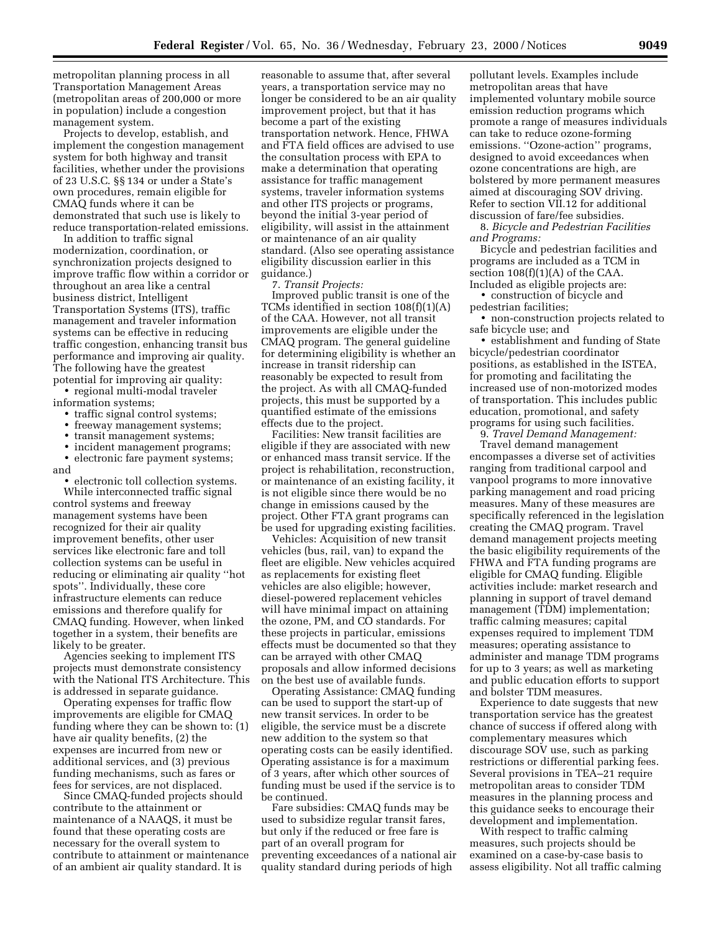metropolitan planning process in all Transportation Management Areas (metropolitan areas of 200,000 or more in population) include a congestion management system.

Projects to develop, establish, and implement the congestion management system for both highway and transit facilities, whether under the provisions of 23 U.S.C. §§ 134 or under a State's own procedures, remain eligible for CMAQ funds where it can be demonstrated that such use is likely to reduce transportation-related emissions.

In addition to traffic signal modernization, coordination, or synchronization projects designed to improve traffic flow within a corridor or throughout an area like a central business district, Intelligent Transportation Systems (ITS), traffic management and traveler information systems can be effective in reducing traffic congestion, enhancing transit bus performance and improving air quality. The following have the greatest potential for improving air quality:

• regional multi-modal traveler information systems;

- traffic signal control systems;
- freeway management systems;
- transit management systems;

• incident management programs;

• electronic fare payment systems; and

• electronic toll collection systems. While interconnected traffic signal control systems and freeway management systems have been recognized for their air quality improvement benefits, other user services like electronic fare and toll collection systems can be useful in reducing or eliminating air quality ''hot spots''. Individually, these core infrastructure elements can reduce emissions and therefore qualify for CMAQ funding. However, when linked together in a system, their benefits are likely to be greater.

Agencies seeking to implement ITS projects must demonstrate consistency with the National ITS Architecture. This is addressed in separate guidance.

Operating expenses for traffic flow improvements are eligible for CMAQ funding where they can be shown to: (1) have air quality benefits, (2) the expenses are incurred from new or additional services, and (3) previous funding mechanisms, such as fares or fees for services, are not displaced.

Since CMAQ-funded projects should contribute to the attainment or maintenance of a NAAQS, it must be found that these operating costs are necessary for the overall system to contribute to attainment or maintenance of an ambient air quality standard. It is

reasonable to assume that, after several years, a transportation service may no longer be considered to be an air quality improvement project, but that it has become a part of the existing transportation network. Hence, FHWA and FTA field offices are advised to use the consultation process with EPA to make a determination that operating assistance for traffic management systems, traveler information systems and other ITS projects or programs, beyond the initial 3-year period of eligibility, will assist in the attainment or maintenance of an air quality standard. (Also see operating assistance eligibility discussion earlier in this guidance.)

7. *Transit Projects:*

Improved public transit is one of the TCMs identified in section 108(f)(1)(A) of the CAA. However, not all transit improvements are eligible under the CMAQ program. The general guideline for determining eligibility is whether an increase in transit ridership can reasonably be expected to result from the project. As with all CMAQ-funded projects, this must be supported by a quantified estimate of the emissions effects due to the project.

Facilities: New transit facilities are eligible if they are associated with new or enhanced mass transit service. If the project is rehabilitation, reconstruction, or maintenance of an existing facility, it is not eligible since there would be no change in emissions caused by the project. Other FTA grant programs can be used for upgrading existing facilities.

Vehicles: Acquisition of new transit vehicles (bus, rail, van) to expand the fleet are eligible. New vehicles acquired as replacements for existing fleet vehicles are also eligible; however, diesel-powered replacement vehicles will have minimal impact on attaining the ozone, PM, and CO standards. For these projects in particular, emissions effects must be documented so that they can be arrayed with other CMAQ proposals and allow informed decisions on the best use of available funds.

Operating Assistance: CMAQ funding can be used to support the start-up of new transit services. In order to be eligible, the service must be a discrete new addition to the system so that operating costs can be easily identified. Operating assistance is for a maximum of 3 years, after which other sources of funding must be used if the service is to be continued.

Fare subsidies: CMAQ funds may be used to subsidize regular transit fares, but only if the reduced or free fare is part of an overall program for preventing exceedances of a national air quality standard during periods of high

pollutant levels. Examples include metropolitan areas that have implemented voluntary mobile source emission reduction programs which promote a range of measures individuals can take to reduce ozone-forming emissions. "Ozone-action" programs, designed to avoid exceedances when ozone concentrations are high, are bolstered by more permanent measures aimed at discouraging SOV driving. Refer to section VII.12 for additional discussion of fare/fee subsidies.

8. *Bicycle and Pedestrian Facilities and Programs:*

Bicycle and pedestrian facilities and programs are included as a TCM in section  $108(f)(1)(A)$  of the CAA. Included as eligible projects are:

• construction of bicycle and pedestrian facilities;

• non-construction projects related to safe bicycle use; and

• establishment and funding of State bicycle/pedestrian coordinator positions, as established in the ISTEA, for promoting and facilitating the increased use of non-motorized modes of transportation. This includes public education, promotional, and safety programs for using such facilities.

9. *Travel Demand Management:*

Travel demand management encompasses a diverse set of activities ranging from traditional carpool and vanpool programs to more innovative parking management and road pricing measures. Many of these measures are specifically referenced in the legislation creating the CMAQ program. Travel demand management projects meeting the basic eligibility requirements of the FHWA and FTA funding programs are eligible for CMAQ funding. Eligible activities include: market research and planning in support of travel demand management (TDM) implementation; traffic calming measures; capital expenses required to implement TDM measures; operating assistance to administer and manage TDM programs for up to 3 years; as well as marketing and public education efforts to support and bolster TDM measures.

Experience to date suggests that new transportation service has the greatest chance of success if offered along with complementary measures which discourage SOV use, such as parking restrictions or differential parking fees. Several provisions in TEA–21 require metropolitan areas to consider TDM measures in the planning process and this guidance seeks to encourage their development and implementation.

With respect to traffic calming measures, such projects should be examined on a case-by-case basis to assess eligibility. Not all traffic calming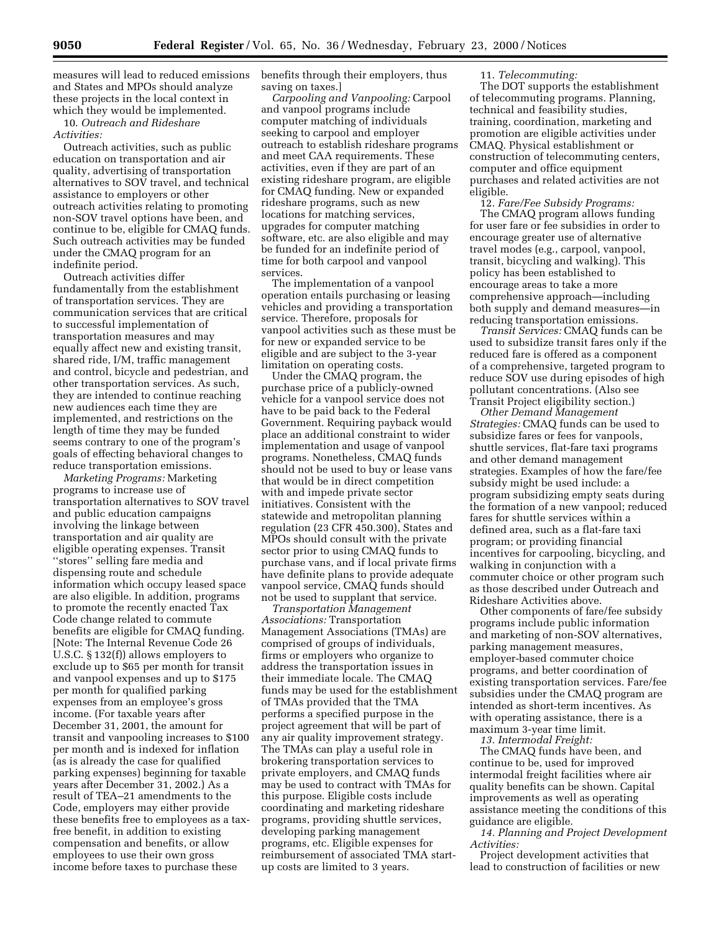measures will lead to reduced emissions and States and MPOs should analyze these projects in the local context in which they would be implemented.

10. *Outreach and Rideshare Activities:* 

Outreach activities, such as public education on transportation and air quality, advertising of transportation alternatives to SOV travel, and technical assistance to employers or other outreach activities relating to promoting non-SOV travel options have been, and continue to be, eligible for CMAQ funds. Such outreach activities may be funded under the CMAQ program for an indefinite period.

Outreach activities differ fundamentally from the establishment of transportation services. They are communication services that are critical to successful implementation of transportation measures and may equally affect new and existing transit, shared ride, I/M, traffic management and control, bicycle and pedestrian, and other transportation services. As such, they are intended to continue reaching new audiences each time they are implemented, and restrictions on the length of time they may be funded seems contrary to one of the program's goals of effecting behavioral changes to reduce transportation emissions.

*Marketing Programs:* Marketing programs to increase use of transportation alternatives to SOV travel and public education campaigns involving the linkage between transportation and air quality are eligible operating expenses. Transit ''stores'' selling fare media and dispensing route and schedule information which occupy leased space are also eligible. In addition, programs to promote the recently enacted Tax Code change related to commute benefits are eligible for CMAQ funding. [Note: The Internal Revenue Code 26 U.S.C. § 132(f)) allows employers to exclude up to \$65 per month for transit and vanpool expenses and up to \$175 per month for qualified parking expenses from an employee's gross income. (For taxable years after December 31, 2001, the amount for transit and vanpooling increases to \$100 per month and is indexed for inflation (as is already the case for qualified parking expenses) beginning for taxable years after December 31, 2002.) As a result of TEA–21 amendments to the Code, employers may either provide these benefits free to employees as a taxfree benefit, in addition to existing compensation and benefits, or allow employees to use their own gross income before taxes to purchase these

benefits through their employers, thus saving on taxes.]

*Carpooling and Vanpooling:* Carpool and vanpool programs include computer matching of individuals seeking to carpool and employer outreach to establish rideshare programs and meet CAA requirements. These activities, even if they are part of an existing rideshare program, are eligible for CMAQ funding. New or expanded rideshare programs, such as new locations for matching services, upgrades for computer matching software, etc. are also eligible and may be funded for an indefinite period of time for both carpool and vanpool services.

The implementation of a vanpool operation entails purchasing or leasing vehicles and providing a transportation service. Therefore, proposals for vanpool activities such as these must be for new or expanded service to be eligible and are subject to the 3-year limitation on operating costs.

Under the CMAQ program, the purchase price of a publicly-owned vehicle for a vanpool service does not have to be paid back to the Federal Government. Requiring payback would place an additional constraint to wider implementation and usage of vanpool programs. Nonetheless, CMAQ funds should not be used to buy or lease vans that would be in direct competition with and impede private sector initiatives. Consistent with the statewide and metropolitan planning regulation (23 CFR 450.300), States and MPOs should consult with the private sector prior to using CMAQ funds to purchase vans, and if local private firms have definite plans to provide adequate vanpool service, CMAQ funds should not be used to supplant that service.

*Transportation Management Associations:* Transportation Management Associations (TMAs) are comprised of groups of individuals, firms or employers who organize to address the transportation issues in their immediate locale. The CMAQ funds may be used for the establishment of TMAs provided that the TMA performs a specified purpose in the project agreement that will be part of any air quality improvement strategy. The TMAs can play a useful role in brokering transportation services to private employers, and CMAQ funds may be used to contract with TMAs for this purpose. Eligible costs include coordinating and marketing rideshare programs, providing shuttle services, developing parking management programs, etc. Eligible expenses for reimbursement of associated TMA startup costs are limited to 3 years.

## 11. *Telecommuting:*

The DOT supports the establishment of telecommuting programs. Planning, technical and feasibility studies, training, coordination, marketing and promotion are eligible activities under CMAQ. Physical establishment or construction of telecommuting centers, computer and office equipment purchases and related activities are not eligible.

12. *Fare/Fee Subsidy Programs:*  The CMAQ program allows funding for user fare or fee subsidies in order to encourage greater use of alternative travel modes (e.g., carpool, vanpool, transit, bicycling and walking). This policy has been established to encourage areas to take a more comprehensive approach—including both supply and demand measures—in reducing transportation emissions.

*Transit Services:* CMAQ funds can be used to subsidize transit fares only if the reduced fare is offered as a component of a comprehensive, targeted program to reduce SOV use during episodes of high pollutant concentrations. (Also see Transit Project eligibility section.)

*Other Demand Management Strategies:* CMAQ funds can be used to subsidize fares or fees for vanpools, shuttle services, flat-fare taxi programs and other demand management strategies. Examples of how the fare/fee subsidy might be used include: a program subsidizing empty seats during the formation of a new vanpool; reduced fares for shuttle services within a defined area, such as a flat-fare taxi program; or providing financial incentives for carpooling, bicycling, and walking in conjunction with a commuter choice or other program such as those described under Outreach and Rideshare Activities above.

Other components of fare/fee subsidy programs include public information and marketing of non-SOV alternatives, parking management measures, employer-based commuter choice programs, and better coordination of existing transportation services. Fare/fee subsidies under the CMAQ program are intended as short-term incentives. As with operating assistance, there is a maximum 3-year time limit.

*13. Intermodal Freight:* 

The CMAQ funds have been, and continue to be, used for improved intermodal freight facilities where air quality benefits can be shown. Capital improvements as well as operating assistance meeting the conditions of this guidance are eligible.

*14. Planning and Project Development Activities:* 

Project development activities that lead to construction of facilities or new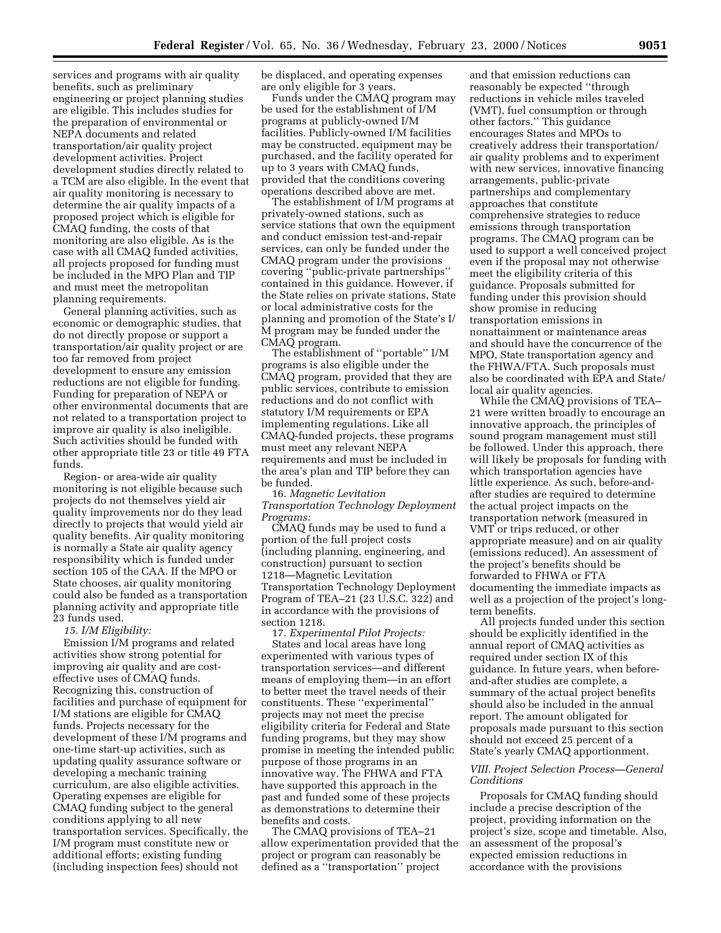services and programs with air quality benefits, such as preliminary engineering or project planning studies are eligible. This includes studies for the preparation of environmental or NEPA documents and related transportation/air quality project development activities. Project development studies directly related to a TCM are also eligible. In the event that air quality monitoring is necessary to determine the air quality impacts of a proposed project which is eligible for CMAQ funding, the costs of that monitoring are also eligible. As is the case with all CMAQ funded activities, all projects proposed for funding must be included in the MPO Plan and TIP and must meet the metropolitan planning requirements.

General planning activities, such as economic or demographic studies, that do not directly propose or support a transportation/air quality project or are too far removed from project development to ensure any emission reductions are not eligible for funding. Funding for preparation of NEPA or other environmental documents that are not related to a transportation project to improve air quality is also ineligible. Such activities should be funded with other appropriate title 23 or title 49 FTA funds.

Region- or area-wide air quality monitoring is not eligible because such projects do not themselves yield air quality improvements nor do they lead directly to projects that would yield air quality benefits. Air quality monitoring is normally a State air quality agency responsibility which is funded under section 105 of the CAA. If the MPO or State chooses, air quality monitoring could also be funded as a transportation planning activity and appropriate title 23 funds used.

## *15. I/M Eligibility:*

Emission I/M programs and related activities show strong potential for improving air quality and are costeffective uses of CMAQ funds. Recognizing this, construction of facilities and purchase of equipment for I/M stations are eligible for CMAQ funds. Projects necessary for the development of these I/M programs and one-time start-up activities, such as updating quality assurance software or developing a mechanic training curriculum, are also eligible activities. Operating expenses are eligible for CMAQ funding subject to the general conditions applying to all new transportation services. Specifically, the I/M program must constitute new or additional efforts; existing funding (including inspection fees) should not

be displaced, and operating expenses are only eligible for 3 years.

Funds under the CMAQ program may be used for the establishment of I/M programs at publicly-owned I/M facilities. Publicly-owned I/M facilities may be constructed, equipment may be purchased, and the facility operated for up to 3 years with CMAQ funds, provided that the conditions covering operations described above are met.

The establishment of I/M programs at privately-owned stations, such as service stations that own the equipment and conduct emission test-and-repair services, can only be funded under the CMAQ program under the provisions covering ''public-private partnerships'' contained in this guidance. However, if the State relies on private stations, State or local administrative costs for the planning and promotion of the State's I/ M program may be funded under the CMAQ program.

The establishment of ''portable'' I/M programs is also eligible under the CMAQ program, provided that they are public services, contribute to emission reductions and do not conflict with statutory I/M requirements or EPA implementing regulations. Like all CMAQ-funded projects, these programs must meet any relevant NEPA requirements and must be included in the area's plan and TIP before they can be funded.

16. *Magnetic Levitation Transportation Technology Deployment Programs:*

CMAQ funds may be used to fund a portion of the full project costs (including planning, engineering, and construction) pursuant to section 1218—Magnetic Levitation Transportation Technology Deployment Program of TEA–21 (23 U.S.C. 322) and in accordance with the provisions of section 1218.

17. *Experimental Pilot Projects:* States and local areas have long experimented with various types of transportation services—and different means of employing them—in an effort to better meet the travel needs of their constituents. These ''experimental'' projects may not meet the precise eligibility criteria for Federal and State funding programs, but they may show promise in meeting the intended public purpose of those programs in an innovative way. The FHWA and FTA have supported this approach in the past and funded some of these projects as demonstrations to determine their benefits and costs.

The CMAQ provisions of TEA–21 allow experimentation provided that the project or program can reasonably be defined as a ''transportation'' project

and that emission reductions can reasonably be expected ''through reductions in vehicle miles traveled (VMT), fuel consumption or through other factors.'' This guidance encourages States and MPOs to creatively address their transportation/ air quality problems and to experiment with new services, innovative financing arrangements, public-private partnerships and complementary approaches that constitute comprehensive strategies to reduce emissions through transportation programs. The CMAQ program can be used to support a well conceived project even if the proposal may not otherwise meet the eligibility criteria of this guidance. Proposals submitted for funding under this provision should show promise in reducing transportation emissions in nonattainment or maintenance areas and should have the concurrence of the MPO, State transportation agency and the FHWA/FTA. Such proposals must also be coordinated with EPA and State/ local air quality agencies.

While the CMAQ provisions of TEA– 21 were written broadly to encourage an innovative approach, the principles of sound program management must still be followed. Under this approach, there will likely be proposals for funding with which transportation agencies have little experience. As such, before-andafter studies are required to determine the actual project impacts on the transportation network (measured in VMT or trips reduced, or other appropriate measure) and on air quality (emissions reduced). An assessment of the project's benefits should be forwarded to FHWA or FTA documenting the immediate impacts as well as a projection of the project's longterm benefits.

All projects funded under this section should be explicitly identified in the annual report of CMAQ activities as required under section IX of this guidance. In future years, when beforeand-after studies are complete, a summary of the actual project benefits should also be included in the annual report. The amount obligated for proposals made pursuant to this section should not exceed 25 percent of a State's yearly CMAQ apportionment.

# *VIII. Project Selection Process—General Conditions*

Proposals for CMAQ funding should include a precise description of the project, providing information on the project's size, scope and timetable. Also, an assessment of the proposal's expected emission reductions in accordance with the provisions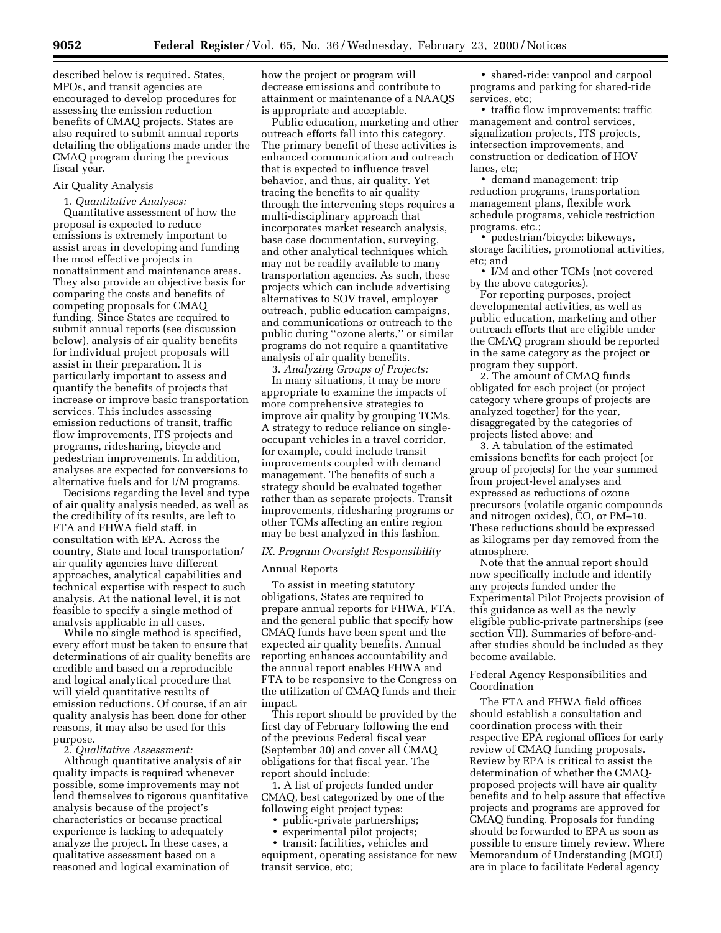described below is required. States, MPOs, and transit agencies are encouraged to develop procedures for assessing the emission reduction benefits of CMAQ projects. States are also required to submit annual reports detailing the obligations made under the CMAQ program during the previous fiscal year.

## Air Quality Analysis

1. *Quantitative Analyses:*

Quantitative assessment of how the proposal is expected to reduce emissions is extremely important to assist areas in developing and funding the most effective projects in nonattainment and maintenance areas. They also provide an objective basis for comparing the costs and benefits of competing proposals for CMAQ funding. Since States are required to submit annual reports (see discussion below), analysis of air quality benefits for individual project proposals will assist in their preparation. It is particularly important to assess and quantify the benefits of projects that increase or improve basic transportation services. This includes assessing emission reductions of transit, traffic flow improvements, ITS projects and programs, ridesharing, bicycle and pedestrian improvements. In addition, analyses are expected for conversions to alternative fuels and for I/M programs.

Decisions regarding the level and type of air quality analysis needed, as well as the credibility of its results, are left to FTA and FHWA field staff, in consultation with EPA. Across the country, State and local transportation/ air quality agencies have different approaches, analytical capabilities and technical expertise with respect to such analysis. At the national level, it is not feasible to specify a single method of analysis applicable in all cases.

While no single method is specified, every effort must be taken to ensure that determinations of air quality benefits are credible and based on a reproducible and logical analytical procedure that will yield quantitative results of emission reductions. Of course, if an air quality analysis has been done for other reasons, it may also be used for this purpose.

2. *Qualitative Assessment:*

Although quantitative analysis of air quality impacts is required whenever possible, some improvements may not lend themselves to rigorous quantitative analysis because of the project's characteristics or because practical experience is lacking to adequately analyze the project. In these cases, a qualitative assessment based on a reasoned and logical examination of

how the project or program will decrease emissions and contribute to attainment or maintenance of a NAAQS is appropriate and acceptable.

Public education, marketing and other outreach efforts fall into this category. The primary benefit of these activities is enhanced communication and outreach that is expected to influence travel behavior, and thus, air quality. Yet tracing the benefits to air quality through the intervening steps requires a multi-disciplinary approach that incorporates market research analysis, base case documentation, surveying, and other analytical techniques which may not be readily available to many transportation agencies. As such, these projects which can include advertising alternatives to SOV travel, employer outreach, public education campaigns, and communications or outreach to the public during ''ozone alerts,'' or similar programs do not require a quantitative analysis of air quality benefits.

3. *Analyzing Groups of Projects:* In many situations, it may be more appropriate to examine the impacts of more comprehensive strategies to improve air quality by grouping TCMs. A strategy to reduce reliance on singleoccupant vehicles in a travel corridor, for example, could include transit improvements coupled with demand management. The benefits of such a strategy should be evaluated together rather than as separate projects. Transit improvements, ridesharing programs or other TCMs affecting an entire region may be best analyzed in this fashion.

### *IX. Program Oversight Responsibility*

### Annual Reports

To assist in meeting statutory obligations, States are required to prepare annual reports for FHWA, FTA, and the general public that specify how CMAQ funds have been spent and the expected air quality benefits. Annual reporting enhances accountability and the annual report enables FHWA and FTA to be responsive to the Congress on the utilization of CMAQ funds and their impact.

This report should be provided by the first day of February following the end of the previous Federal fiscal year (September 30) and cover all CMAQ obligations for that fiscal year. The report should include:

1. A list of projects funded under CMAQ, best categorized by one of the following eight project types:

- public-private partnerships;
- experimental pilot projects;

• transit: facilities, vehicles and equipment, operating assistance for new transit service, etc;

• shared-ride: vanpool and carpool programs and parking for shared-ride services, etc;

• traffic flow improvements: traffic management and control services, signalization projects, ITS projects, intersection improvements, and construction or dedication of HOV lanes, etc;

• demand management: trip reduction programs, transportation management plans, flexible work schedule programs, vehicle restriction programs, etc.;

• pedestrian/bicycle: bikeways, storage facilities, promotional activities, etc; and

• I/M and other TCMs (not covered by the above categories).

For reporting purposes, project developmental activities, as well as public education, marketing and other outreach efforts that are eligible under the CMAQ program should be reported in the same category as the project or program they support.

2. The amount of CMAQ funds obligated for each project (or project category where groups of projects are analyzed together) for the year, disaggregated by the categories of projects listed above; and

3. A tabulation of the estimated emissions benefits for each project (or group of projects) for the year summed from project-level analyses and expressed as reductions of ozone precursors (volatile organic compounds and nitrogen oxides), CO, or PM–10. These reductions should be expressed as kilograms per day removed from the atmosphere.

Note that the annual report should now specifically include and identify any projects funded under the Experimental Pilot Projects provision of this guidance as well as the newly eligible public-private partnerships (see section VII). Summaries of before-andafter studies should be included as they become available.

## Federal Agency Responsibilities and Coordination

The FTA and FHWA field offices should establish a consultation and coordination process with their respective EPA regional offices for early review of CMAQ funding proposals. Review by EPA is critical to assist the determination of whether the CMAQproposed projects will have air quality benefits and to help assure that effective projects and programs are approved for CMAQ funding. Proposals for funding should be forwarded to EPA as soon as possible to ensure timely review. Where Memorandum of Understanding (MOU) are in place to facilitate Federal agency